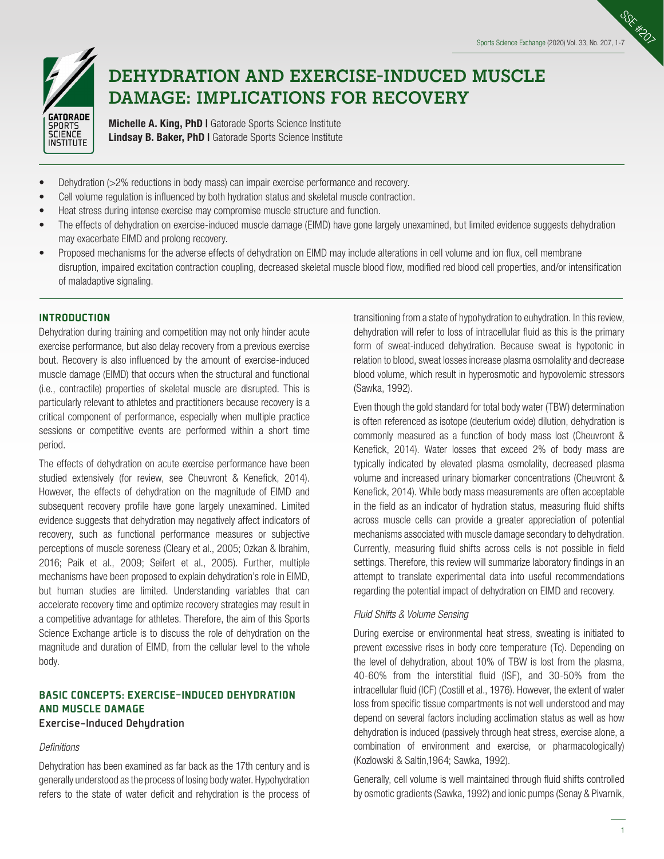

# **DEHYDRATION AND EXERCISE-INDUCED MUSCLE DAMAGE: IMPLICATIONS FOR RECOVERY**

Michelle A. King, PhD I Gatorade Sports Science Institute Lindsay B. Baker, PhD I Gatorade Sports Science Institute

- Dehydration (>2% reductions in body mass) can impair exercise performance and recovery.
- Cell volume regulation is influenced by both hydration status and skeletal muscle contraction.
- Heat stress during intense exercise may compromise muscle structure and function.
- The effects of dehydration on exercise-induced muscle damage (EIMD) have gone largely unexamined, but limited evidence suggests dehydration may exacerbate EIMD and prolong recovery.
- Proposed mechanisms for the adverse effects of dehydration on EIMD may include alterations in cell volume and ion flux, cell membrane disruption, impaired excitation contraction coupling, decreased skeletal muscle blood flow, modified red blood cell properties, and/or intensification of maladaptive signaling.

## INTRODUCTION

Dehydration during training and competition may not only hinder acute exercise performance, but also delay recovery from a previous exercise bout. Recovery is also influenced by the amount of exercise-induced muscle damage (EIMD) that occurs when the structural and functional (i.e., contractile) properties of skeletal muscle are disrupted. This is particularly relevant to athletes and practitioners because recovery is a critical component of performance, especially when multiple practice sessions or competitive events are performed within a short time period.

The effects of dehydration on acute exercise performance have been studied extensively (for review, see Cheuvront & Kenefick, 2014). However, the effects of dehydration on the magnitude of EIMD and subsequent recovery profile have gone largely unexamined. Limited evidence suggests that dehydration may negatively affect indicators of recovery, such as functional performance measures or subjective perceptions of muscle soreness (Cleary et al., 2005; Ozkan & Ibrahim, 2016; Paik et al., 2009; Seifert et al., 2005). Further, multiple mechanisms have been proposed to explain dehydration's role in EIMD, but human studies are limited. Understanding variables that can accelerate recovery time and optimize recovery strategies may result in a competitive advantage for athletes. Therefore, the aim of this Sports Science Exchange article is to discuss the role of dehydration on the magnitude and duration of EIMD, from the cellular level to the whole body.

# BASIC CONCEPTS: EXERCISE-INDUCED DEHYDRATION AND MUSCLE DAMAGE

## Exercise-Induced Dehydration

#### *Definitions*

Dehydration has been examined as far back as the 17th century and is generally understood as the process of losing body water. Hypohydration refers to the state of water deficit and rehydration is the process of transitioning from a state of hypohydration to euhydration. In this review, dehydration will refer to loss of intracellular fluid as this is the primary form of sweat-induced dehydration. Because sweat is hypotonic in relation to blood, sweat losses increase plasma osmolality and decrease blood volume, which result in hyperosmotic and hypovolemic stressors (Sawka, 1992).

Even though the gold standard for total body water (TBW) determination is often referenced as isotope (deuterium oxide) dilution, dehydration is commonly measured as a function of body mass lost (Cheuvront & Kenefick, 2014). Water losses that exceed 2% of body mass are typically indicated by elevated plasma osmolality, decreased plasma volume and increased urinary biomarker concentrations (Cheuvront & Kenefick, 2014). While body mass measurements are often acceptable in the field as an indicator of hydration status, measuring fluid shifts across muscle cells can provide a greater appreciation of potential mechanisms associated with muscle damage secondary to dehydration. Currently, measuring fluid shifts across cells is not possible in field settings. Therefore, this review will summarize laboratory findings in an attempt to translate experimental data into useful recommendations regarding the potential impact of dehydration on EIMD and recovery.

## *Fluid Shifts & Volume Sensing*

During exercise or environmental heat stress, sweating is initiated to prevent excessive rises in body core temperature (Tc). Depending on the level of dehydration, about 10% of TBW is lost from the plasma, 40-60% from the interstitial fluid (ISF), and 30-50% from the intracellular fluid (ICF) (Costill et al., 1976). However, the extent of water loss from specific tissue compartments is not well understood and may depend on several factors including acclimation status as well as how dehydration is induced (passively through heat stress, exercise alone, a combination of environment and exercise, or pharmacologically) (Kozlowski & Saltin,1964; Sawka, 1992).

Generally, cell volume is well maintained through fluid shifts controlled by osmotic gradients (Sawka, 1992) and ionic pumps (Senay & Pivarnik,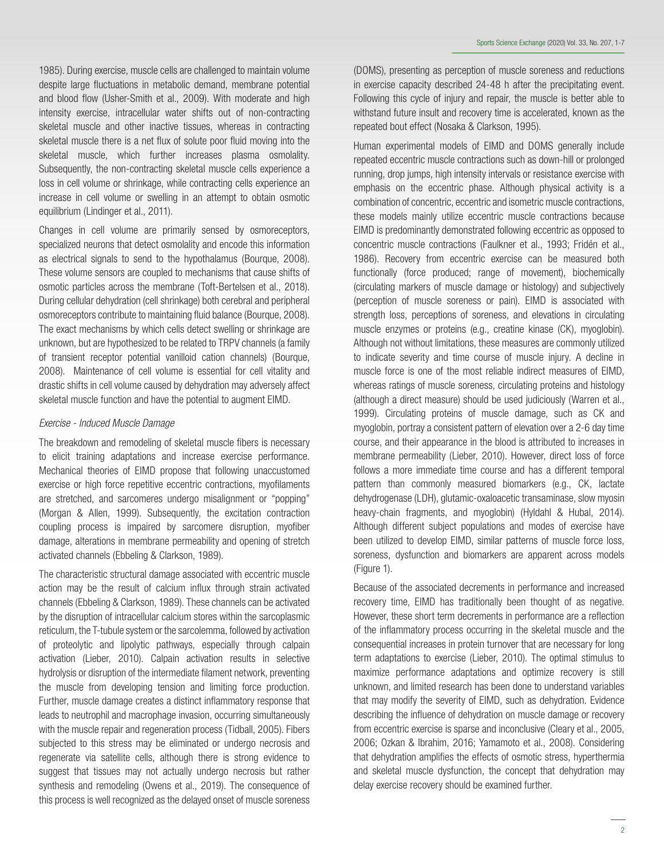1985). During exercise, muscle cells are challenged to maintain volume despite large fluctuations in metabolic demand, membrane potential and blood flow (Usher-Smith et al., 2009). With moderate and high intensity exercise, intracellular water shifts out of non-contracting skeletal muscle and other inactive tissues, whereas in contracting skeletal muscle there is a net flux of solute poor fluid moving into the skeletal muscle, which further increases plasma osmolality. Subsequently, the non-contracting skeletal muscle cells experience a loss in cell volume or shrinkage, while contracting cells experience an increase in cell volume or swelling in an attempt to obtain osmotic equilibrium (Lindinger et al., 2011).

Changes in cell volume are primarily sensed by osmoreceptors, specialized neurons that detect osmolality and encode this information as electrical signals to send to the hypothalamus (Bourque, 2008). These volume sensors are coupled to mechanisms that cause shifts of osmotic particles across the membrane (Toft-Bertelsen et al., 2018). During cellular dehydration (cell shrinkage) both cerebral and peripheral osmoreceptors contribute to maintaining fluid balance (Bourque, 2008). The exact mechanisms by which cells detect swelling or shrinkage are unknown, but are hypothesized to be related to TRPV channels (a family of transient receptor potential vanilloid cation channels) (Bourque, 2008). Maintenance of cell volume is essential for cell vitality and drastic shifts in cell volume caused by dehydration may adversely affect skeletal muscle function and have the potential to augment EIMD.

## *Exercise - Induced Muscle Damage*

The breakdown and remodeling of skeletal muscle fibers is necessary to elicit training adaptations and increase exercise performance. Mechanical theories of EIMD propose that following unaccustomed exercise or high force repetitive eccentric contractions, myofilaments are stretched, and sarcomeres undergo misalignment or "popping" (Morgan & Allen, 1999). Subsequently, the excitation contraction coupling process is impaired by sarcomere disruption, myofiber damage, alterations in membrane permeability and opening of stretch activated channels (Ebbeling & Clarkson, 1989).

The characteristic structural damage associated with eccentric muscle action may be the result of calcium influx through strain activated channels (Ebbeling & Clarkson, 1989). These channels can be activated by the disruption of intracellular calcium stores within the sarcoplasmic reticulum, the T-tubule system or the sarcolemma, followed by activation of proteolytic and lipolytic pathways, especially through calpain activation (Lieber, 2010). Calpain activation results in selective hydrolysis or disruption of the intermediate filament network, preventing the muscle from developing tension and limiting force production. Further, muscle damage creates a distinct inflammatory response that leads to neutrophil and macrophage invasion, occurring simultaneously with the muscle repair and regeneration process (Tidball, 2005). Fibers subjected to this stress may be eliminated or undergo necrosis and regenerate via satellite cells, although there is strong evidence to suggest that tissues may not actually undergo necrosis but rather synthesis and remodeling (Owens et al., 2019). The consequence of this process is well recognized as the delayed onset of muscle soreness

(DOMS), presenting as perception of muscle soreness and reductions in exercise capacity described 24-48 h after the precipitating event. Following this cycle of injury and repair, the muscle is better able to withstand future insult and recovery time is accelerated, known as the repeated bout effect (Nosaka & Clarkson, 1995).

Human experimental models of EIMD and DOMS generally include repeated eccentric muscle contractions such as down-hill or prolonged running, drop jumps, high intensity intervals or resistance exercise with emphasis on the eccentric phase. Although physical activity is a combination of concentric, eccentric and isometric muscle contractions, these models mainly utilize eccentric muscle contractions because EIMD is predominantly demonstrated following eccentric as opposed to concentric muscle contractions (Faulkner et al., 1993; Fridén et al., 1986). Recovery from eccentric exercise can be measured both functionally (force produced; range of movement), biochemically (circulating markers of muscle damage or histology) and subjectively (perception of muscle soreness or pain). EIMD is associated with strength loss, perceptions of soreness, and elevations in circulating muscle enzymes or proteins (e.g., creatine kinase (CK), myoglobin). Although not without limitations, these measures are commonly utilized to indicate severity and time course of muscle injury. A decline in muscle force is one of the most reliable indirect measures of EIMD, whereas ratings of muscle soreness, circulating proteins and histology (although a direct measure) should be used judiciously (Warren et al., 1999). Circulating proteins of muscle damage, such as CK and myoglobin, portray a consistent pattern of elevation over a 2-6 day time course, and their appearance in the blood is attributed to increases in membrane permeability (Lieber, 2010). However, direct loss of force follows a more immediate time course and has a different temporal pattern than commonly measured biomarkers (e.g., CK, lactate dehydrogenase (LDH), glutamic-oxaloacetic transaminase, slow myosin heavy-chain fragments, and myoglobin) (Hyldahl & Hubal, 2014). Although different subject populations and modes of exercise have been utilized to develop EIMD, similar patterns of muscle force loss, soreness, dysfunction and biomarkers are apparent across models (Figure 1).

Because of the associated decrements in performance and increased recovery time, EIMD has traditionally been thought of as negative. However, these short term decrements in performance are a reflection of the inflammatory process occurring in the skeletal muscle and the consequential increases in protein turnover that are necessary for long term adaptations to exercise (Lieber, 2010). The optimal stimulus to maximize performance adaptations and optimize recovery is still unknown, and limited research has been done to understand variables that may modify the severity of EIMD, such as dehydration. Evidence describing the influence of dehydration on muscle damage or recovery from eccentric exercise is sparse and inconclusive (Cleary et al., 2005, 2006; Ozkan & Ibrahim, 2016; Yamamoto et al., 2008). Considering that dehydration amplifies the effects of osmotic stress, hyperthermia and skeletal muscle dysfunction, the concept that dehydration may delay exercise recovery should be examined further.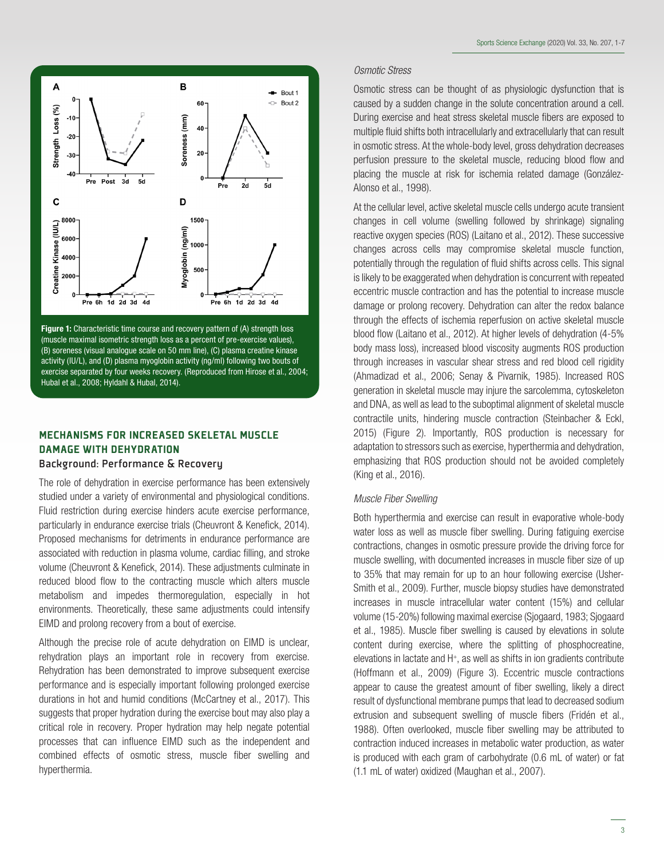

Figure 1: Characteristic time course and recovery pattern of (A) strength loss (muscle maximal isometric strength loss as a percent of pre-exercise values), (B) soreness (visual analogue scale on 50 mm line), (C) plasma creatine kinase activity (IU/L), and (D) plasma myoglobin activity (ng/ml) following two bouts of exercise separated by four weeks recovery. (Reproduced from Hirose et al., 2004; Hubal et al., 2008; Hyldahl & Hubal, 2014).

## MECHANISMS FOR INCREASED SKELETAL MUSCLE DAMAGE WITH DEHYDRATION

## Background: Performance & Recovery

The role of dehydration in exercise performance has been extensively studied under a variety of environmental and physiological conditions. Fluid restriction during exercise hinders acute exercise performance, particularly in endurance exercise trials (Cheuvront & Kenefick, 2014). Proposed mechanisms for detriments in endurance performance are associated with reduction in plasma volume, cardiac filling, and stroke volume (Cheuvront & Kenefick, 2014). These adjustments culminate in reduced blood flow to the contracting muscle which alters muscle metabolism and impedes thermoregulation, especially in hot environments. Theoretically, these same adjustments could intensify EIMD and prolong recovery from a bout of exercise.

Although the precise role of acute dehydration on EIMD is unclear, rehydration plays an important role in recovery from exercise. Rehydration has been demonstrated to improve subsequent exercise performance and is especially important following prolonged exercise durations in hot and humid conditions (McCartney et al., 2017). This suggests that proper hydration during the exercise bout may also play a critical role in recovery. Proper hydration may help negate potential processes that can influence EIMD such as the independent and combined effects of osmotic stress, muscle fiber swelling and hyperthermia.

## *Osmotic Stress*

Osmotic stress can be thought of as physiologic dysfunction that is caused by a sudden change in the solute concentration around a cell. During exercise and heat stress skeletal muscle fibers are exposed to multiple fluid shifts both intracellularly and extracellularly that can result in osmotic stress. At the whole-body level, gross dehydration decreases perfusion pressure to the skeletal muscle, reducing blood flow and placing the muscle at risk for ischemia related damage (González-Alonso et al., 1998).

At the cellular level, active skeletal muscle cells undergo acute transient changes in cell volume (swelling followed by shrinkage) signaling reactive oxygen species (ROS) (Laitano et al., 2012). These successive changes across cells may compromise skeletal muscle function, potentially through the regulation of fluid shifts across cells. This signal is likely to be exaggerated when dehydration is concurrent with repeated eccentric muscle contraction and has the potential to increase muscle damage or prolong recovery. Dehydration can alter the redox balance through the effects of ischemia reperfusion on active skeletal muscle blood flow (Laitano et al., 2012). At higher levels of dehydration (4-5% body mass loss), increased blood viscosity augments ROS production through increases in vascular shear stress and red blood cell rigidity (Ahmadizad et al., 2006; Senay & Pivarnik, 1985). Increased ROS generation in skeletal muscle may injure the sarcolemma, cytoskeleton and DNA, as well as lead to the suboptimal alignment of skeletal muscle contractile units, hindering muscle contraction (Steinbacher & Eckl, 2015) (Figure 2). Importantly, ROS production is necessary for adaptation to stressors such as exercise, hyperthermia and dehydration, emphasizing that ROS production should not be avoided completely (King et al., 2016).

#### *Muscle Fiber Swelling*

Both hyperthermia and exercise can result in evaporative whole-body water loss as well as muscle fiber swelling. During fatiguing exercise contractions, changes in osmotic pressure provide the driving force for muscle swelling, with documented increases in muscle fiber size of up to 35% that may remain for up to an hour following exercise (Usher-Smith et al., 2009). Further, muscle biopsy studies have demonstrated increases in muscle intracellular water content (15%) and cellular volume (15-20%) following maximal exercise (Sjogaard, 1983; Sjogaard et al., 1985). Muscle fiber swelling is caused by elevations in solute content during exercise, where the splitting of phosphocreatine, elevations in lactate and  $H^*$ , as well as shifts in ion gradients contribute (Hoffmann et al., 2009) (Figure 3). Eccentric muscle contractions appear to cause the greatest amount of fiber swelling, likely a direct result of dysfunctional membrane pumps that lead to decreased sodium extrusion and subsequent swelling of muscle fibers (Fridén et al., 1988). Often overlooked, muscle fiber swelling may be attributed to contraction induced increases in metabolic water production, as water is produced with each gram of carbohydrate (0.6 mL of water) or fat (1.1 mL of water) oxidized (Maughan et al., 2007).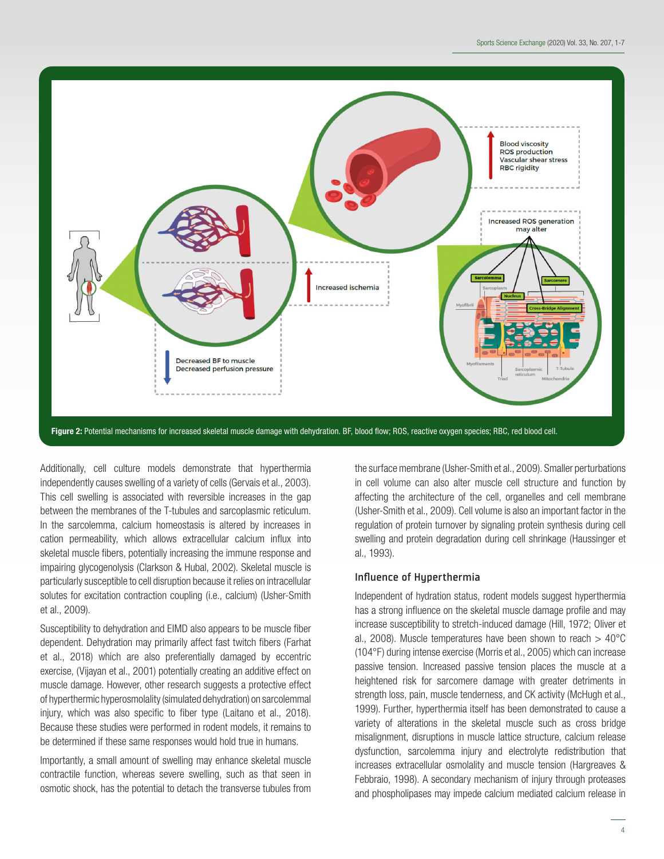

Figure 2: Potential mechanisms for increased skeletal muscle damage with dehydration. BF, blood flow; ROS, reactive oxygen species; RBC, red blood cell.

Additionally, cell culture models demonstrate that hyperthermia independently causes swelling of a variety of cells (Gervais et al., 2003). This cell swelling is associated with reversible increases in the gap between the membranes of the T-tubules and sarcoplasmic reticulum. In the sarcolemma, calcium homeostasis is altered by increases in cation permeability, which allows extracellular calcium influx into skeletal muscle fibers, potentially increasing the immune response and impairing glycogenolysis (Clarkson & Hubal, 2002). Skeletal muscle is particularly susceptible to cell disruption because it relies on intracellular solutes for excitation contraction coupling (i.e., calcium) (Usher-Smith et al., 2009).

Susceptibility to dehydration and EIMD also appears to be muscle fiber dependent. Dehydration may primarily affect fast twitch fibers (Farhat et al., 2018) which are also preferentially damaged by eccentric exercise, (Vijayan et al., 2001) potentially creating an additive effect on muscle damage. However, other research suggests a protective effect of hyperthermic hyperosmolality (simulated dehydration) on sarcolemmal injury, which was also specific to fiber type (Laitano et al., 2018). Because these studies were performed in rodent models, it remains to be determined if these same responses would hold true in humans.

Importantly, a small amount of swelling may enhance skeletal muscle contractile function, whereas severe swelling, such as that seen in osmotic shock, has the potential to detach the transverse tubules from the surface membrane (Usher-Smith et al., 2009). Smaller perturbations in cell volume can also alter muscle cell structure and function by affecting the architecture of the cell, organelles and cell membrane (Usher-Smith et al., 2009). Cell volume is also an important factor in the regulation of protein turnover by signaling protein synthesis during cell swelling and protein degradation during cell shrinkage (Haussinger et al., 1993).

### Influence of Hyperthermia

Independent of hydration status, rodent models suggest hyperthermia has a strong influence on the skeletal muscle damage profile and may increase susceptibility to stretch-induced damage (Hill, 1972; Oliver et al., 2008). Muscle temperatures have been shown to reach  $> 40^{\circ}$ C (104°F) during intense exercise (Morris et al., 2005) which can increase passive tension. Increased passive tension places the muscle at a heightened risk for sarcomere damage with greater detriments in strength loss, pain, muscle tenderness, and CK activity (McHugh et al., 1999). Further, hyperthermia itself has been demonstrated to cause a variety of alterations in the skeletal muscle such as cross bridge misalignment, disruptions in muscle lattice structure, calcium release dysfunction, sarcolemma injury and electrolyte redistribution that increases extracellular osmolality and muscle tension (Hargreaves & Febbraio, 1998). A secondary mechanism of injury through proteases and phospholipases may impede calcium mediated calcium release in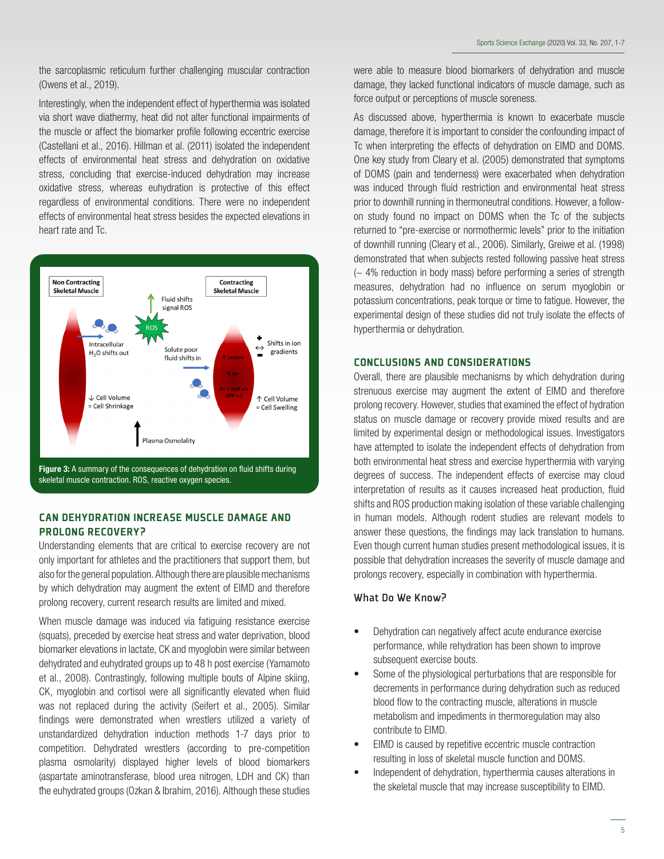the sarcoplasmic reticulum further challenging muscular contraction (Owens et al., 2019).

Interestingly, when the independent effect of hyperthermia was isolated via short wave diathermy, heat did not alter functional impairments of the muscle or affect the biomarker profile following eccentric exercise (Castellani et al., 2016). Hillman et al. (2011) isolated the independent effects of environmental heat stress and dehydration on oxidative stress, concluding that exercise-induced dehydration may increase oxidative stress, whereas euhydration is protective of this effect regardless of environmental conditions. There were no independent effects of environmental heat stress besides the expected elevations in heart rate and Tc.



skeletal muscle contraction. ROS, reactive oxygen species.

## CAN DEHYDRATION INCREASE MUSCLE DAMAGE AND PROLONG RECOVERY?

Understanding elements that are critical to exercise recovery are not only important for athletes and the practitioners that support them, but also for the general population. Although there are plausible mechanisms by which dehydration may augment the extent of EIMD and therefore prolong recovery, current research results are limited and mixed.

. the euhydrated groups (Ozkan & Ibrahim, 2016). Although these studies When muscle damage was induced via fatiguing resistance exercise (squats), preceded by exercise heat stress and water deprivation, blood biomarker elevations in lactate, CK and myoglobin were similar between dehydrated and euhydrated groups up to 48 h post exercise (Yamamoto et al., 2008). Contrastingly, following multiple bouts of Alpine skiing, CK, myoglobin and cortisol were all significantly elevated when fluid was not replaced during the activity (Seifert et al., 2005). Similar findings were demonstrated when wrestlers utilized a variety of unstandardized dehydration induction methods 1-7 days prior to competition. Dehydrated wrestlers (according to pre-competition plasma osmolarity) displayed higher levels of blood biomarkers (aspartate aminotransferase, blood urea nitrogen, LDH and CK) than

were able to measure blood biomarkers of dehydration and muscle damage, they lacked functional indicators of muscle damage, such as force output or perceptions of muscle soreness.

As discussed above, hyperthermia is known to exacerbate muscle damage, therefore it is important to consider the confounding impact of Tc when interpreting the effects of dehydration on EIMD and DOMS. One key study from Cleary et al. (2005) demonstrated that symptoms of DOMS (pain and tenderness) were exacerbated when dehydration was induced through fluid restriction and environmental heat stress prior to downhill running in thermoneutral conditions. However, a followon study found no impact on DOMS when the Tc of the subjects returned to "pre-exercise or normothermic levels" prior to the initiation of downhill running (Cleary et al., 2006). Similarly, Greiwe et al. (1998) demonstrated that when subjects rested following passive heat stress (~ 4% reduction in body mass) before performing a series of strength measures, dehydration had no influence on serum myoglobin or potassium concentrations, peak torque or time to fatigue. However, the experimental design of these studies did not truly isolate the effects of hyperthermia or dehydration.

## CONCLUSIONS AND CONSIDERATIONS

Overall, there are plausible mechanisms by which dehydration during strenuous exercise may augment the extent of EIMD and therefore prolong recovery. However, studies that examined the effect of hydration status on muscle damage or recovery provide mixed results and are limited by experimental design or methodological issues. Investigators have attempted to isolate the independent effects of dehydration from both environmental heat stress and exercise hyperthermia with varying degrees of success. The independent effects of exercise may cloud interpretation of results as it causes increased heat production, fluid shifts and ROS production making isolation of these variable challenging in human models. Although rodent studies are relevant models to answer these questions, the findings may lack translation to humans. Even though current human studies present methodological issues, it is possible that dehydration increases the severity of muscle damage and prolongs recovery, especially in combination with hyperthermia.

## What Do We Know?

- Dehydration can negatively affect acute endurance exercise performance, while rehydration has been shown to improve subsequent exercise bouts.
- Some of the physiological perturbations that are responsible for decrements in performance during dehydration such as reduced blood flow to the contracting muscle, alterations in muscle metabolism and impediments in thermoregulation may also contribute to EIMD.
- EIMD is caused by repetitive eccentric muscle contraction resulting in loss of skeletal muscle function and DOMS.
- Independent of dehydration, hyperthermia causes alterations in the skeletal muscle that may increase susceptibility to EIMD.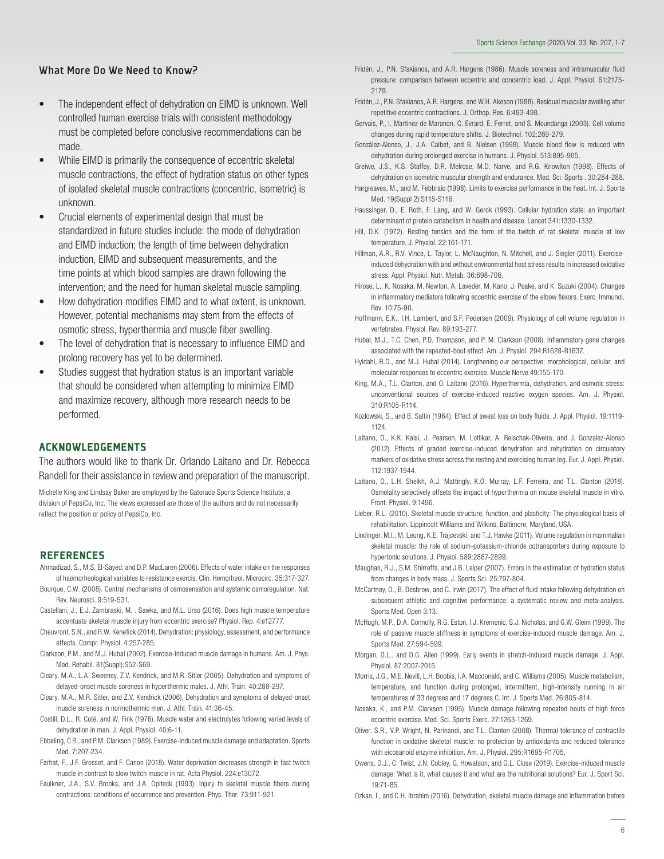## What More Do We Need to Know?

- The independent effect of dehydration on EIMD is unknown. Well controlled human exercise trials with consistent methodology must be completed before conclusive recommendations can be made.
- While EIMD is primarily the consequence of eccentric skeletal muscle contractions, the effect of hydration status on other types of isolated skeletal muscle contractions (concentric, isometric) is unknown.
- Crucial elements of experimental design that must be standardized in future studies include: the mode of dehydration and EIMD induction; the length of time between dehydration induction, EIMD and subsequent measurements, and the time points at which blood samples are drawn following the intervention; and the need for human skeletal muscle sampling.
- How dehydration modifies EIMD and to what extent, is unknown. However, potential mechanisms may stem from the effects of osmotic stress, hyperthermia and muscle fiber swelling.
- The level of dehydration that is necessary to influence EIMD and prolong recovery has yet to be determined.
- Studies suggest that hydration status is an important variable that should be considered when attempting to minimize EIMD and maximize recovery, although more research needs to be performed.

## ACKNOWLEDGEMENTS

The authors would like to thank Dr. Orlando Laitano and Dr. Rebecca Randell for their assistance in review and preparation of the manuscript.

Michelle King and Lindsay Baker are employed by the Gatorade Sports Science Institute, a division of PepsiCo, Inc. The views expressed are those of the authors and do not necessarily reflect the position or policy of PepsiCo, Inc.

#### **REFERENCES**

Ahmadizad, S., M.S. El-Sayed. and D.P. MacLaren (2006). Effects of water intake on the responses of haemorheological variables to resistance exercis. Clin. Hemorheol. Microcirc. 35:317-327.

- Bourque, C.W. (2008). Central mechanisms of osmosensation and systemic osmoregulation. Nat. Rev. Neurosci. 9:519-531.
- Castellani, J., E.J. Zambraski, M. . Sawka, and M.L. Urso (2016). Does high muscle temperature accentuate skeletal muscle injury from eccentric exercise? Physiol. Rep. 4:e12777.
- Cheuvront, S.N., and R.W. Kenefick (2014). Dehydration: physiology, assessment, and performance effects. Compr. Physiol. 4:257-285.
- Clarkson, P.M., and M.J. Hubal (2002). Exercise-induced muscle damage in humans. Am. J. Phys. Med. Rehabil. 81(Suppl):S52-S69.
- Cleary, M.A., L.A. Sweeney, Z.V. Kendrick, and M.R. Sitler (2005). Dehydration and symptoms of delayed-onset muscle soreness in hyperthermic males. J. Athl. Train. 40:288-297.
- Cleary, M.A., M.R. Sitler, and Z.V. Kendrick (2006). Dehydration and symptoms of delayed-onset muscle soreness in normothermic men. J. Athl. Train. 41:36-45.
- Costill, D.L., R. Coté, and W. Fink (1976). Muscle water and electrolytes following varied levels of dehydration in man. J. Appl. Physiol. 40:6-11.
- Ebbeling, C B., and P.M. Clarkson (1989). Exercise-induced muscle damage and adaptation. Sports Med. 7:207-234.
- Farhat, F., J.F. Grosset, and F. Canon (2018). Water deprivation decreases strength in fast twitch muscle in contrast to slow twitch muscle in rat. Acta Physiol. 224:e13072.
- Faulkner, J.A., S.V. Brooks, and J.A. Opiteck (1993). Injury to skeletal muscle fibers during contractions: conditions of occurrence and prevention. Phys. Ther. 73:911-921.
- Fridén, J., P.N. Sfakianos, and A.R. Hargens (1986). Muscle soreness and intramuscular fluid pressure: comparison between eccentric and concentric load. J. Appl. Physiol. 61:2175- 2179.
- Fridén, J., P.N. Sfakianos, A.R. Hargens, and W.H. Akeson (1988). Residual muscular swelling after repetitive eccentric contractions. J. Orthop. Res. 6:493-498.
- Gervais, P., I. Martinez de Maranon, C. Evrard, E. Ferret, and S. Moundanga (2003). Cell volume changes during rapid temperature shifts. J. Biotechnol. 102:269-279.
- González-Alonso, J., J.A. Calbet, and B. Nielsen (1998). Muscle blood flow is reduced with dehydration during prolonged exercise in humans. J. Physiol. 513:895-905.

Greiwe, J.S., K.S. Staffey, D.R. Melrose, M.D. Narve, and R.G. Knowlton (1998). Effects of dehydration on isometric muscular strength and endurance. Med. Sci. Sports . 30:284-288.

- Hargreaves, M., and M. Febbraio (1998). Limits to exercise performance in the heat. Int. J. Sports Med. 19(Suppl 2):S115-S116.
- Haussinger, D., E. Roth, F. Lang, and W. Gerok (1993). Cellular hydration state: an important determinant of protein catabolism in health and disease. Lancet 341:1330-1332.
- Hill, D.K. (1972). Resting tension and the form of the twitch of rat skeletal muscle at low temperature. J. Physiol. 22:161-171.
- Hillman, A.R., R.V. Vince, L. Taylor, L. McNaughton, N. Mitchell, and J. Siegler (2011). Exerciseinduced dehydration with and without environmental heat stress results in increased oxidative stress. Appl. Physiol. Nutr. Metab. 36:698-706.
- Hirose, L., K. Nosaka, M. Newton, A. Laveder, M. Kano, J. Peake, and K. Suzuki (2004). Changes in inflammatory mediators following eccentric exercise of the elbow flexors. Exerc. Immunol. Rev. 10:75-90.
- Hoffmann, E.K., I.H. Lambert, and S.F. Pedersen (2009). Physiology of cell volume regulation in vertebrates. Physiol. Rev. 89:193-277.
- Hubal, M.J., T.C. Chen, P.D. Thompson, and P. M. Clarkson (2008). Inflammatory gene changes associated with the repeated-bout effect. Am. J. Physiol. 294:R1628-R1637.
- Hyldahl, R.D., and M.J. Hubal (2014). Lengthening our perspective: morphological, cellular, and molecular responses to eccentric exercise. Muscle Nerve 49:155-170.
- King, M.A., T.L. Clanton, and O. Laitano (2016). Hyperthermia, dehydration, and osmotic stress: unconventional sources of exercise-induced reactive oxygen species. Am. J. Physiol. 310:R105-R114.
- Kozlowski, S., and B. Saltin (1964). Effect of sweat loss on body fluids. J. Appl. Physiol. 19:1119- 1124.
- Laitano, O., K.K. Kalsi, J. Pearson, M. Lotlikar, A. Reischak-Oliveira, and J. Gonzalez-Alonso (2012). Effects of graded exercise-induced dehydration and rehydration on circulatory markers of oxidative stress across the resting and exercising human leg. Eur. J. Appl. Physiol. 112:1937-1944.
- Laitano, O., L.H. Sheikh, A.J. Mattingly, K.O. Murray, L.F. Ferreira, and T.L. Clanton (2018). Osmolality selectively offsets the impact of hyperthermia on mouse skeletal muscle in vitro. Front. Physiol. 9:1496.
- Lieber, R.L. (2010). Skeletal muscle structure, function, and plasticity: The physiological basis of rehabilitation. Lippincott Williams and Wilkins, Baltimore, Maryland, USA.
- Lindinger, M.I., M. Leung, K.E. Trajcevski, and T.J. Hawke (2011). Volume regulation in mammalian skeletal muscle: the role of sodium-potassium-chloride cotransporters during exposure to hypertonic solutions. J. Physiol. 589:2887-2899.
- Maughan, R.J., S.M. Shirreffs, and J.B. Leiper (2007). Errors in the estimation of hydration status from changes in body mass. J. Sports Sci. 25:797-804.
- McCartney, D., B. Desbrow, and C. Irwin (2017). The effect of fluid intake following dehydration on subsequent athletic and cognitive performance: a systematic review and meta-analysis. Sports Med. Open 3:13.
- McHugh, M.P., D.A. Connolly, R.G. Eston, I.J. Kremenic, S.J. Nicholas, and G.W. Gleim (1999). The role of passive muscle stiffness in symptoms of exercise-induced muscle damage. Am. J. Sports Med. 27:594-599.
- Morgan, D.L., and D.G. Allen (1999). Early events in stretch-induced muscle damage. J. Appl. Physiol. 87:2007-2015.
- Morris, J.G., M.E. Nevill, L.H. Boobis, I.A. Macdonald, and C. Williams (2005). Muscle metabolism, temperature, and function during prolonged, intermittent, high-intensity running in air temperatures of 33 degrees and 17 degrees C. Int. J. Sports Med. 26:805-814.
- Nosaka, K., and P.M. Clarkson (1995). Muscle damage following repeated bouts of high force eccentric exercise. Med. Sci. Sports Exerc. 27:1263-1269.
- Oliver, S.R., V.P. Wright, N. Parinandi, and T.L. Clanton (2008). Thermal tolerance of contractile function in oxidative skeletal muscle: no protection by antioxidants and reduced tolerance with eicosanoid enzyme inhibition. Am. J. Physiol. 295:R1695-R1705.
- Owens, D.J., C. Twist, J.N. Cobley, G. Howatson, and G.L. Close (2019). Exercise-induced muscle damage: What is it, what causes it and what are the nutritional solutions? Eur. J. Sport Sci. 19:71-85.

Ozkan, I., and C.H. Ibrahim (2016). Dehydration, skeletal muscle damage and inflammation before